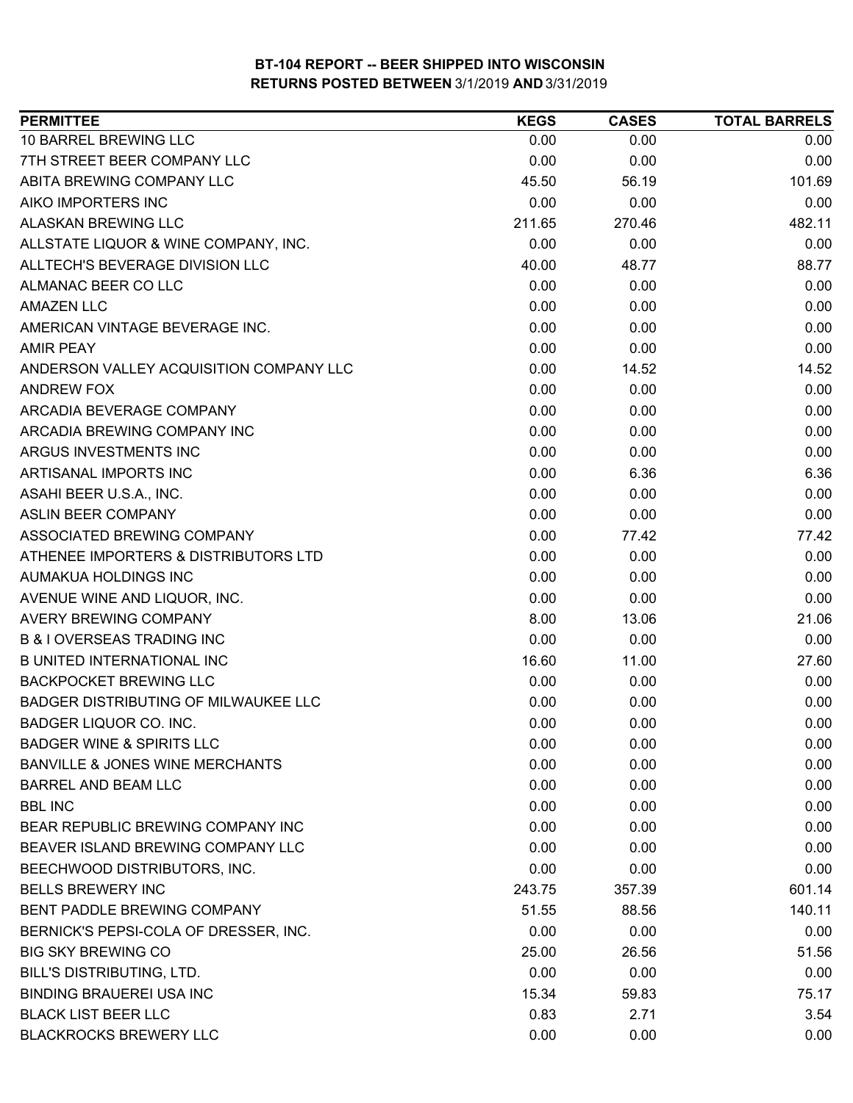| <b>PERMITTEE</b>                           | <b>KEGS</b> | <b>CASES</b> | <b>TOTAL BARRELS</b> |
|--------------------------------------------|-------------|--------------|----------------------|
| 10 BARREL BREWING LLC                      | 0.00        | 0.00         | 0.00                 |
| 7TH STREET BEER COMPANY LLC                | 0.00        | 0.00         | 0.00                 |
| ABITA BREWING COMPANY LLC                  | 45.50       | 56.19        | 101.69               |
| AIKO IMPORTERS INC                         | 0.00        | 0.00         | 0.00                 |
| <b>ALASKAN BREWING LLC</b>                 | 211.65      | 270.46       | 482.11               |
| ALLSTATE LIQUOR & WINE COMPANY, INC.       | 0.00        | 0.00         | 0.00                 |
| ALLTECH'S BEVERAGE DIVISION LLC            | 40.00       | 48.77        | 88.77                |
| ALMANAC BEER CO LLC                        | 0.00        | 0.00         | 0.00                 |
| <b>AMAZEN LLC</b>                          | 0.00        | 0.00         | 0.00                 |
| AMERICAN VINTAGE BEVERAGE INC.             | 0.00        | 0.00         | 0.00                 |
| <b>AMIR PEAY</b>                           | 0.00        | 0.00         | 0.00                 |
| ANDERSON VALLEY ACQUISITION COMPANY LLC    | 0.00        | 14.52        | 14.52                |
| ANDREW FOX                                 | 0.00        | 0.00         | 0.00                 |
| ARCADIA BEVERAGE COMPANY                   | 0.00        | 0.00         | 0.00                 |
| ARCADIA BREWING COMPANY INC                | 0.00        | 0.00         | 0.00                 |
| ARGUS INVESTMENTS INC                      | 0.00        | 0.00         | 0.00                 |
| ARTISANAL IMPORTS INC                      | 0.00        | 6.36         | 6.36                 |
| ASAHI BEER U.S.A., INC.                    | 0.00        | 0.00         | 0.00                 |
| <b>ASLIN BEER COMPANY</b>                  | 0.00        | 0.00         | 0.00                 |
| ASSOCIATED BREWING COMPANY                 | 0.00        | 77.42        | 77.42                |
| ATHENEE IMPORTERS & DISTRIBUTORS LTD       | 0.00        | 0.00         | 0.00                 |
| AUMAKUA HOLDINGS INC                       | 0.00        | 0.00         | 0.00                 |
| AVENUE WINE AND LIQUOR, INC.               | 0.00        | 0.00         | 0.00                 |
| <b>AVERY BREWING COMPANY</b>               | 8.00        | 13.06        | 21.06                |
| <b>B &amp; I OVERSEAS TRADING INC</b>      | 0.00        | 0.00         | 0.00                 |
| <b>B UNITED INTERNATIONAL INC</b>          | 16.60       | 11.00        | 27.60                |
| <b>BACKPOCKET BREWING LLC</b>              | 0.00        | 0.00         | 0.00                 |
| BADGER DISTRIBUTING OF MILWAUKEE LLC       | 0.00        | 0.00         | 0.00                 |
| BADGER LIQUOR CO. INC.                     | 0.00        | 0.00         | 0.00                 |
| <b>BADGER WINE &amp; SPIRITS LLC</b>       | 0.00        | 0.00         | 0.00                 |
| <b>BANVILLE &amp; JONES WINE MERCHANTS</b> | 0.00        | 0.00         | 0.00                 |
| <b>BARREL AND BEAM LLC</b>                 | 0.00        | 0.00         | 0.00                 |
| <b>BBL INC</b>                             | 0.00        | 0.00         | 0.00                 |
| BEAR REPUBLIC BREWING COMPANY INC          | 0.00        | 0.00         | 0.00                 |
| BEAVER ISLAND BREWING COMPANY LLC          | 0.00        | 0.00         | 0.00                 |
| BEECHWOOD DISTRIBUTORS, INC.               | 0.00        | 0.00         | 0.00                 |
| <b>BELLS BREWERY INC</b>                   | 243.75      | 357.39       | 601.14               |
| BENT PADDLE BREWING COMPANY                | 51.55       | 88.56        | 140.11               |
| BERNICK'S PEPSI-COLA OF DRESSER, INC.      | 0.00        | 0.00         | 0.00                 |
| <b>BIG SKY BREWING CO</b>                  | 25.00       | 26.56        | 51.56                |
| BILL'S DISTRIBUTING, LTD.                  | 0.00        | 0.00         | 0.00                 |
| <b>BINDING BRAUEREI USA INC</b>            | 15.34       | 59.83        | 75.17                |
| <b>BLACK LIST BEER LLC</b>                 | 0.83        | 2.71         | 3.54                 |
| <b>BLACKROCKS BREWERY LLC</b>              | 0.00        | 0.00         | 0.00                 |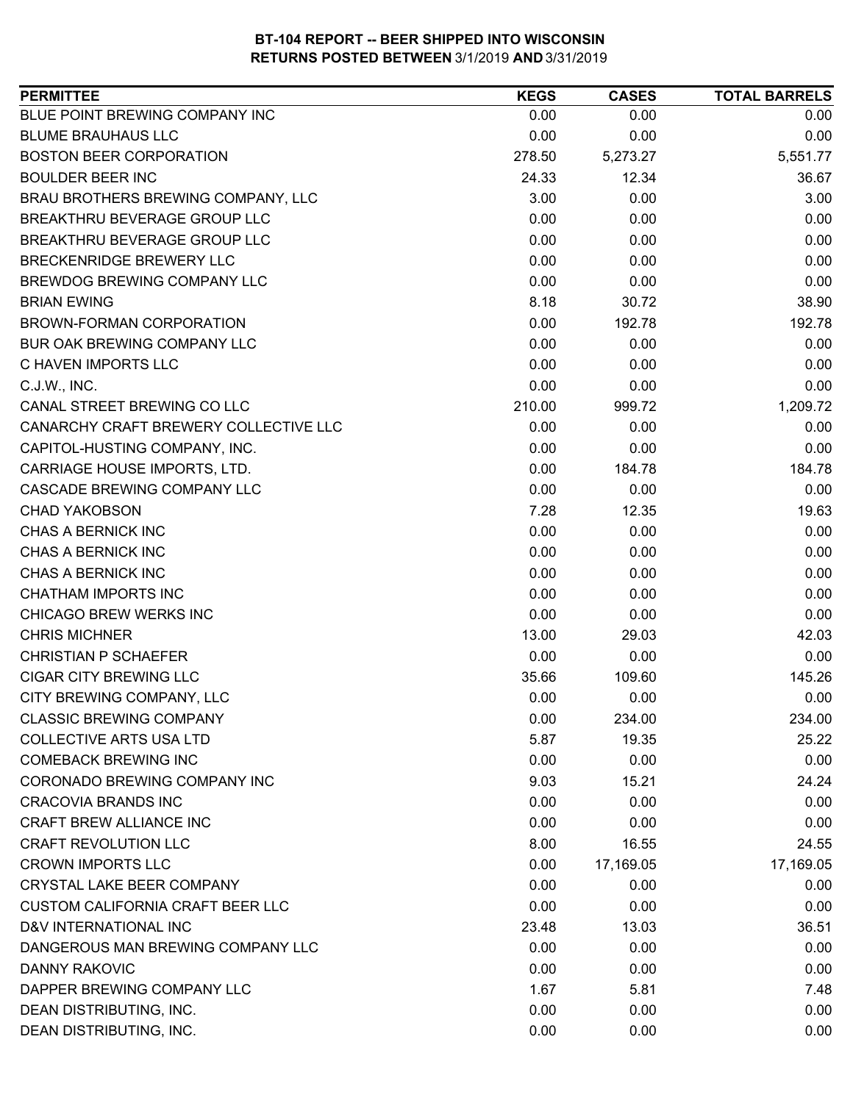| BLUE POINT BREWING COMPANY INC<br>0.00<br>0.00<br>0.00<br><b>BLUME BRAUHAUS LLC</b><br>0.00<br>0.00<br>0.00<br><b>BOSTON BEER CORPORATION</b><br>278.50<br>5,273.27<br>5,551.77<br><b>BOULDER BEER INC</b><br>36.67<br>24.33<br>12.34<br>3.00<br>0.00<br>3.00<br>BRAU BROTHERS BREWING COMPANY, LLC<br>BREAKTHRU BEVERAGE GROUP LLC<br>0.00<br>0.00<br>0.00<br>BREAKTHRU BEVERAGE GROUP LLC<br>0.00<br>0.00<br>0.00<br>0.00<br>BRECKENRIDGE BREWERY LLC<br>0.00<br>0.00<br>0.00<br>BREWDOG BREWING COMPANY LLC<br>0.00<br>0.00<br><b>BRIAN EWING</b><br>8.18<br>38.90<br>30.72<br>BROWN-FORMAN CORPORATION<br>0.00<br>192.78<br>192.78<br>BUR OAK BREWING COMPANY LLC<br>0.00<br>0.00<br>0.00<br>0.00<br>C HAVEN IMPORTS LLC<br>0.00<br>0.00<br>0.00<br>0.00<br>C.J.W., INC.<br>0.00<br>CANAL STREET BREWING CO LLC<br>210.00<br>1,209.72<br>999.72<br>CANARCHY CRAFT BREWERY COLLECTIVE LLC<br>0.00<br>0.00<br>0.00<br>CAPITOL-HUSTING COMPANY, INC.<br>0.00<br>0.00<br>0.00<br>CARRIAGE HOUSE IMPORTS, LTD.<br>0.00<br>184.78<br>184.78<br>CASCADE BREWING COMPANY LLC<br>0.00<br>0.00<br>0.00<br><b>CHAD YAKOBSON</b><br>7.28<br>12.35<br>19.63<br>0.00<br>CHAS A BERNICK INC<br>0.00<br>0.00<br>CHAS A BERNICK INC<br>0.00<br>0.00<br>0.00<br>CHAS A BERNICK INC<br>0.00<br>0.00<br>0.00<br><b>CHATHAM IMPORTS INC</b><br>0.00<br>0.00<br>0.00<br>CHICAGO BREW WERKS INC<br>0.00<br>0.00<br>0.00<br><b>CHRIS MICHNER</b><br>42.03<br>13.00<br>29.03<br><b>CHRISTIAN P SCHAEFER</b><br>0.00<br>0.00<br>0.00<br><b>CIGAR CITY BREWING LLC</b><br>35.66<br>109.60<br>145.26<br>CITY BREWING COMPANY, LLC<br>0.00<br>0.00<br>0.00<br><b>CLASSIC BREWING COMPANY</b><br>0.00<br>234.00<br>234.00<br>5.87<br>19.35<br>25.22<br><b>COLLECTIVE ARTS USA LTD</b><br><b>COMEBACK BREWING INC</b><br>0.00<br>0.00<br>0.00<br>CORONADO BREWING COMPANY INC<br>9.03<br>15.21<br>24.24<br><b>CRACOVIA BRANDS INC</b><br>0.00<br>0.00<br>0.00<br><b>CRAFT BREW ALLIANCE INC</b><br>0.00<br>0.00<br>0.00<br><b>CRAFT REVOLUTION LLC</b><br>8.00<br>16.55<br>24.55<br><b>CROWN IMPORTS LLC</b><br>0.00<br>17,169.05<br>17,169.05<br><b>CRYSTAL LAKE BEER COMPANY</b><br>0.00<br>0.00<br>0.00<br>0.00<br>0.00<br><b>CUSTOM CALIFORNIA CRAFT BEER LLC</b><br>0.00<br>D&V INTERNATIONAL INC<br>23.48<br>13.03<br>36.51<br>DANGEROUS MAN BREWING COMPANY LLC<br>0.00<br>0.00<br>0.00<br>DANNY RAKOVIC<br>0.00<br>0.00<br>0.00<br>DAPPER BREWING COMPANY LLC<br>1.67<br>5.81<br>7.48<br>DEAN DISTRIBUTING, INC.<br>0.00<br>0.00<br>0.00<br>DEAN DISTRIBUTING, INC.<br>0.00<br>0.00<br>0.00 | <b>PERMITTEE</b> | <b>KEGS</b> | <b>CASES</b> | <b>TOTAL BARRELS</b> |
|--------------------------------------------------------------------------------------------------------------------------------------------------------------------------------------------------------------------------------------------------------------------------------------------------------------------------------------------------------------------------------------------------------------------------------------------------------------------------------------------------------------------------------------------------------------------------------------------------------------------------------------------------------------------------------------------------------------------------------------------------------------------------------------------------------------------------------------------------------------------------------------------------------------------------------------------------------------------------------------------------------------------------------------------------------------------------------------------------------------------------------------------------------------------------------------------------------------------------------------------------------------------------------------------------------------------------------------------------------------------------------------------------------------------------------------------------------------------------------------------------------------------------------------------------------------------------------------------------------------------------------------------------------------------------------------------------------------------------------------------------------------------------------------------------------------------------------------------------------------------------------------------------------------------------------------------------------------------------------------------------------------------------------------------------------------------------------------------------------------------------------------------------------------------------------------------------------------------------------------------------------------------------------------------------------------------------------------------------------------------------------------------------------------------------------------------------------------------------------------------------------------------------------------------------------------------------|------------------|-------------|--------------|----------------------|
|                                                                                                                                                                                                                                                                                                                                                                                                                                                                                                                                                                                                                                                                                                                                                                                                                                                                                                                                                                                                                                                                                                                                                                                                                                                                                                                                                                                                                                                                                                                                                                                                                                                                                                                                                                                                                                                                                                                                                                                                                                                                                                                                                                                                                                                                                                                                                                                                                                                                                                                                                                          |                  |             |              |                      |
|                                                                                                                                                                                                                                                                                                                                                                                                                                                                                                                                                                                                                                                                                                                                                                                                                                                                                                                                                                                                                                                                                                                                                                                                                                                                                                                                                                                                                                                                                                                                                                                                                                                                                                                                                                                                                                                                                                                                                                                                                                                                                                                                                                                                                                                                                                                                                                                                                                                                                                                                                                          |                  |             |              |                      |
|                                                                                                                                                                                                                                                                                                                                                                                                                                                                                                                                                                                                                                                                                                                                                                                                                                                                                                                                                                                                                                                                                                                                                                                                                                                                                                                                                                                                                                                                                                                                                                                                                                                                                                                                                                                                                                                                                                                                                                                                                                                                                                                                                                                                                                                                                                                                                                                                                                                                                                                                                                          |                  |             |              |                      |
|                                                                                                                                                                                                                                                                                                                                                                                                                                                                                                                                                                                                                                                                                                                                                                                                                                                                                                                                                                                                                                                                                                                                                                                                                                                                                                                                                                                                                                                                                                                                                                                                                                                                                                                                                                                                                                                                                                                                                                                                                                                                                                                                                                                                                                                                                                                                                                                                                                                                                                                                                                          |                  |             |              |                      |
|                                                                                                                                                                                                                                                                                                                                                                                                                                                                                                                                                                                                                                                                                                                                                                                                                                                                                                                                                                                                                                                                                                                                                                                                                                                                                                                                                                                                                                                                                                                                                                                                                                                                                                                                                                                                                                                                                                                                                                                                                                                                                                                                                                                                                                                                                                                                                                                                                                                                                                                                                                          |                  |             |              |                      |
|                                                                                                                                                                                                                                                                                                                                                                                                                                                                                                                                                                                                                                                                                                                                                                                                                                                                                                                                                                                                                                                                                                                                                                                                                                                                                                                                                                                                                                                                                                                                                                                                                                                                                                                                                                                                                                                                                                                                                                                                                                                                                                                                                                                                                                                                                                                                                                                                                                                                                                                                                                          |                  |             |              |                      |
|                                                                                                                                                                                                                                                                                                                                                                                                                                                                                                                                                                                                                                                                                                                                                                                                                                                                                                                                                                                                                                                                                                                                                                                                                                                                                                                                                                                                                                                                                                                                                                                                                                                                                                                                                                                                                                                                                                                                                                                                                                                                                                                                                                                                                                                                                                                                                                                                                                                                                                                                                                          |                  |             |              |                      |
|                                                                                                                                                                                                                                                                                                                                                                                                                                                                                                                                                                                                                                                                                                                                                                                                                                                                                                                                                                                                                                                                                                                                                                                                                                                                                                                                                                                                                                                                                                                                                                                                                                                                                                                                                                                                                                                                                                                                                                                                                                                                                                                                                                                                                                                                                                                                                                                                                                                                                                                                                                          |                  |             |              |                      |
|                                                                                                                                                                                                                                                                                                                                                                                                                                                                                                                                                                                                                                                                                                                                                                                                                                                                                                                                                                                                                                                                                                                                                                                                                                                                                                                                                                                                                                                                                                                                                                                                                                                                                                                                                                                                                                                                                                                                                                                                                                                                                                                                                                                                                                                                                                                                                                                                                                                                                                                                                                          |                  |             |              |                      |
|                                                                                                                                                                                                                                                                                                                                                                                                                                                                                                                                                                                                                                                                                                                                                                                                                                                                                                                                                                                                                                                                                                                                                                                                                                                                                                                                                                                                                                                                                                                                                                                                                                                                                                                                                                                                                                                                                                                                                                                                                                                                                                                                                                                                                                                                                                                                                                                                                                                                                                                                                                          |                  |             |              |                      |
|                                                                                                                                                                                                                                                                                                                                                                                                                                                                                                                                                                                                                                                                                                                                                                                                                                                                                                                                                                                                                                                                                                                                                                                                                                                                                                                                                                                                                                                                                                                                                                                                                                                                                                                                                                                                                                                                                                                                                                                                                                                                                                                                                                                                                                                                                                                                                                                                                                                                                                                                                                          |                  |             |              |                      |
|                                                                                                                                                                                                                                                                                                                                                                                                                                                                                                                                                                                                                                                                                                                                                                                                                                                                                                                                                                                                                                                                                                                                                                                                                                                                                                                                                                                                                                                                                                                                                                                                                                                                                                                                                                                                                                                                                                                                                                                                                                                                                                                                                                                                                                                                                                                                                                                                                                                                                                                                                                          |                  |             |              |                      |
|                                                                                                                                                                                                                                                                                                                                                                                                                                                                                                                                                                                                                                                                                                                                                                                                                                                                                                                                                                                                                                                                                                                                                                                                                                                                                                                                                                                                                                                                                                                                                                                                                                                                                                                                                                                                                                                                                                                                                                                                                                                                                                                                                                                                                                                                                                                                                                                                                                                                                                                                                                          |                  |             |              |                      |
|                                                                                                                                                                                                                                                                                                                                                                                                                                                                                                                                                                                                                                                                                                                                                                                                                                                                                                                                                                                                                                                                                                                                                                                                                                                                                                                                                                                                                                                                                                                                                                                                                                                                                                                                                                                                                                                                                                                                                                                                                                                                                                                                                                                                                                                                                                                                                                                                                                                                                                                                                                          |                  |             |              |                      |
|                                                                                                                                                                                                                                                                                                                                                                                                                                                                                                                                                                                                                                                                                                                                                                                                                                                                                                                                                                                                                                                                                                                                                                                                                                                                                                                                                                                                                                                                                                                                                                                                                                                                                                                                                                                                                                                                                                                                                                                                                                                                                                                                                                                                                                                                                                                                                                                                                                                                                                                                                                          |                  |             |              |                      |
|                                                                                                                                                                                                                                                                                                                                                                                                                                                                                                                                                                                                                                                                                                                                                                                                                                                                                                                                                                                                                                                                                                                                                                                                                                                                                                                                                                                                                                                                                                                                                                                                                                                                                                                                                                                                                                                                                                                                                                                                                                                                                                                                                                                                                                                                                                                                                                                                                                                                                                                                                                          |                  |             |              |                      |
|                                                                                                                                                                                                                                                                                                                                                                                                                                                                                                                                                                                                                                                                                                                                                                                                                                                                                                                                                                                                                                                                                                                                                                                                                                                                                                                                                                                                                                                                                                                                                                                                                                                                                                                                                                                                                                                                                                                                                                                                                                                                                                                                                                                                                                                                                                                                                                                                                                                                                                                                                                          |                  |             |              |                      |
|                                                                                                                                                                                                                                                                                                                                                                                                                                                                                                                                                                                                                                                                                                                                                                                                                                                                                                                                                                                                                                                                                                                                                                                                                                                                                                                                                                                                                                                                                                                                                                                                                                                                                                                                                                                                                                                                                                                                                                                                                                                                                                                                                                                                                                                                                                                                                                                                                                                                                                                                                                          |                  |             |              |                      |
|                                                                                                                                                                                                                                                                                                                                                                                                                                                                                                                                                                                                                                                                                                                                                                                                                                                                                                                                                                                                                                                                                                                                                                                                                                                                                                                                                                                                                                                                                                                                                                                                                                                                                                                                                                                                                                                                                                                                                                                                                                                                                                                                                                                                                                                                                                                                                                                                                                                                                                                                                                          |                  |             |              |                      |
|                                                                                                                                                                                                                                                                                                                                                                                                                                                                                                                                                                                                                                                                                                                                                                                                                                                                                                                                                                                                                                                                                                                                                                                                                                                                                                                                                                                                                                                                                                                                                                                                                                                                                                                                                                                                                                                                                                                                                                                                                                                                                                                                                                                                                                                                                                                                                                                                                                                                                                                                                                          |                  |             |              |                      |
|                                                                                                                                                                                                                                                                                                                                                                                                                                                                                                                                                                                                                                                                                                                                                                                                                                                                                                                                                                                                                                                                                                                                                                                                                                                                                                                                                                                                                                                                                                                                                                                                                                                                                                                                                                                                                                                                                                                                                                                                                                                                                                                                                                                                                                                                                                                                                                                                                                                                                                                                                                          |                  |             |              |                      |
|                                                                                                                                                                                                                                                                                                                                                                                                                                                                                                                                                                                                                                                                                                                                                                                                                                                                                                                                                                                                                                                                                                                                                                                                                                                                                                                                                                                                                                                                                                                                                                                                                                                                                                                                                                                                                                                                                                                                                                                                                                                                                                                                                                                                                                                                                                                                                                                                                                                                                                                                                                          |                  |             |              |                      |
|                                                                                                                                                                                                                                                                                                                                                                                                                                                                                                                                                                                                                                                                                                                                                                                                                                                                                                                                                                                                                                                                                                                                                                                                                                                                                                                                                                                                                                                                                                                                                                                                                                                                                                                                                                                                                                                                                                                                                                                                                                                                                                                                                                                                                                                                                                                                                                                                                                                                                                                                                                          |                  |             |              |                      |
|                                                                                                                                                                                                                                                                                                                                                                                                                                                                                                                                                                                                                                                                                                                                                                                                                                                                                                                                                                                                                                                                                                                                                                                                                                                                                                                                                                                                                                                                                                                                                                                                                                                                                                                                                                                                                                                                                                                                                                                                                                                                                                                                                                                                                                                                                                                                                                                                                                                                                                                                                                          |                  |             |              |                      |
|                                                                                                                                                                                                                                                                                                                                                                                                                                                                                                                                                                                                                                                                                                                                                                                                                                                                                                                                                                                                                                                                                                                                                                                                                                                                                                                                                                                                                                                                                                                                                                                                                                                                                                                                                                                                                                                                                                                                                                                                                                                                                                                                                                                                                                                                                                                                                                                                                                                                                                                                                                          |                  |             |              |                      |
|                                                                                                                                                                                                                                                                                                                                                                                                                                                                                                                                                                                                                                                                                                                                                                                                                                                                                                                                                                                                                                                                                                                                                                                                                                                                                                                                                                                                                                                                                                                                                                                                                                                                                                                                                                                                                                                                                                                                                                                                                                                                                                                                                                                                                                                                                                                                                                                                                                                                                                                                                                          |                  |             |              |                      |
|                                                                                                                                                                                                                                                                                                                                                                                                                                                                                                                                                                                                                                                                                                                                                                                                                                                                                                                                                                                                                                                                                                                                                                                                                                                                                                                                                                                                                                                                                                                                                                                                                                                                                                                                                                                                                                                                                                                                                                                                                                                                                                                                                                                                                                                                                                                                                                                                                                                                                                                                                                          |                  |             |              |                      |
|                                                                                                                                                                                                                                                                                                                                                                                                                                                                                                                                                                                                                                                                                                                                                                                                                                                                                                                                                                                                                                                                                                                                                                                                                                                                                                                                                                                                                                                                                                                                                                                                                                                                                                                                                                                                                                                                                                                                                                                                                                                                                                                                                                                                                                                                                                                                                                                                                                                                                                                                                                          |                  |             |              |                      |
|                                                                                                                                                                                                                                                                                                                                                                                                                                                                                                                                                                                                                                                                                                                                                                                                                                                                                                                                                                                                                                                                                                                                                                                                                                                                                                                                                                                                                                                                                                                                                                                                                                                                                                                                                                                                                                                                                                                                                                                                                                                                                                                                                                                                                                                                                                                                                                                                                                                                                                                                                                          |                  |             |              |                      |
|                                                                                                                                                                                                                                                                                                                                                                                                                                                                                                                                                                                                                                                                                                                                                                                                                                                                                                                                                                                                                                                                                                                                                                                                                                                                                                                                                                                                                                                                                                                                                                                                                                                                                                                                                                                                                                                                                                                                                                                                                                                                                                                                                                                                                                                                                                                                                                                                                                                                                                                                                                          |                  |             |              |                      |
|                                                                                                                                                                                                                                                                                                                                                                                                                                                                                                                                                                                                                                                                                                                                                                                                                                                                                                                                                                                                                                                                                                                                                                                                                                                                                                                                                                                                                                                                                                                                                                                                                                                                                                                                                                                                                                                                                                                                                                                                                                                                                                                                                                                                                                                                                                                                                                                                                                                                                                                                                                          |                  |             |              |                      |
|                                                                                                                                                                                                                                                                                                                                                                                                                                                                                                                                                                                                                                                                                                                                                                                                                                                                                                                                                                                                                                                                                                                                                                                                                                                                                                                                                                                                                                                                                                                                                                                                                                                                                                                                                                                                                                                                                                                                                                                                                                                                                                                                                                                                                                                                                                                                                                                                                                                                                                                                                                          |                  |             |              |                      |
|                                                                                                                                                                                                                                                                                                                                                                                                                                                                                                                                                                                                                                                                                                                                                                                                                                                                                                                                                                                                                                                                                                                                                                                                                                                                                                                                                                                                                                                                                                                                                                                                                                                                                                                                                                                                                                                                                                                                                                                                                                                                                                                                                                                                                                                                                                                                                                                                                                                                                                                                                                          |                  |             |              |                      |
|                                                                                                                                                                                                                                                                                                                                                                                                                                                                                                                                                                                                                                                                                                                                                                                                                                                                                                                                                                                                                                                                                                                                                                                                                                                                                                                                                                                                                                                                                                                                                                                                                                                                                                                                                                                                                                                                                                                                                                                                                                                                                                                                                                                                                                                                                                                                                                                                                                                                                                                                                                          |                  |             |              |                      |
|                                                                                                                                                                                                                                                                                                                                                                                                                                                                                                                                                                                                                                                                                                                                                                                                                                                                                                                                                                                                                                                                                                                                                                                                                                                                                                                                                                                                                                                                                                                                                                                                                                                                                                                                                                                                                                                                                                                                                                                                                                                                                                                                                                                                                                                                                                                                                                                                                                                                                                                                                                          |                  |             |              |                      |
|                                                                                                                                                                                                                                                                                                                                                                                                                                                                                                                                                                                                                                                                                                                                                                                                                                                                                                                                                                                                                                                                                                                                                                                                                                                                                                                                                                                                                                                                                                                                                                                                                                                                                                                                                                                                                                                                                                                                                                                                                                                                                                                                                                                                                                                                                                                                                                                                                                                                                                                                                                          |                  |             |              |                      |
|                                                                                                                                                                                                                                                                                                                                                                                                                                                                                                                                                                                                                                                                                                                                                                                                                                                                                                                                                                                                                                                                                                                                                                                                                                                                                                                                                                                                                                                                                                                                                                                                                                                                                                                                                                                                                                                                                                                                                                                                                                                                                                                                                                                                                                                                                                                                                                                                                                                                                                                                                                          |                  |             |              |                      |
|                                                                                                                                                                                                                                                                                                                                                                                                                                                                                                                                                                                                                                                                                                                                                                                                                                                                                                                                                                                                                                                                                                                                                                                                                                                                                                                                                                                                                                                                                                                                                                                                                                                                                                                                                                                                                                                                                                                                                                                                                                                                                                                                                                                                                                                                                                                                                                                                                                                                                                                                                                          |                  |             |              |                      |
|                                                                                                                                                                                                                                                                                                                                                                                                                                                                                                                                                                                                                                                                                                                                                                                                                                                                                                                                                                                                                                                                                                                                                                                                                                                                                                                                                                                                                                                                                                                                                                                                                                                                                                                                                                                                                                                                                                                                                                                                                                                                                                                                                                                                                                                                                                                                                                                                                                                                                                                                                                          |                  |             |              |                      |
|                                                                                                                                                                                                                                                                                                                                                                                                                                                                                                                                                                                                                                                                                                                                                                                                                                                                                                                                                                                                                                                                                                                                                                                                                                                                                                                                                                                                                                                                                                                                                                                                                                                                                                                                                                                                                                                                                                                                                                                                                                                                                                                                                                                                                                                                                                                                                                                                                                                                                                                                                                          |                  |             |              |                      |
|                                                                                                                                                                                                                                                                                                                                                                                                                                                                                                                                                                                                                                                                                                                                                                                                                                                                                                                                                                                                                                                                                                                                                                                                                                                                                                                                                                                                                                                                                                                                                                                                                                                                                                                                                                                                                                                                                                                                                                                                                                                                                                                                                                                                                                                                                                                                                                                                                                                                                                                                                                          |                  |             |              |                      |
|                                                                                                                                                                                                                                                                                                                                                                                                                                                                                                                                                                                                                                                                                                                                                                                                                                                                                                                                                                                                                                                                                                                                                                                                                                                                                                                                                                                                                                                                                                                                                                                                                                                                                                                                                                                                                                                                                                                                                                                                                                                                                                                                                                                                                                                                                                                                                                                                                                                                                                                                                                          |                  |             |              |                      |
|                                                                                                                                                                                                                                                                                                                                                                                                                                                                                                                                                                                                                                                                                                                                                                                                                                                                                                                                                                                                                                                                                                                                                                                                                                                                                                                                                                                                                                                                                                                                                                                                                                                                                                                                                                                                                                                                                                                                                                                                                                                                                                                                                                                                                                                                                                                                                                                                                                                                                                                                                                          |                  |             |              |                      |
|                                                                                                                                                                                                                                                                                                                                                                                                                                                                                                                                                                                                                                                                                                                                                                                                                                                                                                                                                                                                                                                                                                                                                                                                                                                                                                                                                                                                                                                                                                                                                                                                                                                                                                                                                                                                                                                                                                                                                                                                                                                                                                                                                                                                                                                                                                                                                                                                                                                                                                                                                                          |                  |             |              |                      |
|                                                                                                                                                                                                                                                                                                                                                                                                                                                                                                                                                                                                                                                                                                                                                                                                                                                                                                                                                                                                                                                                                                                                                                                                                                                                                                                                                                                                                                                                                                                                                                                                                                                                                                                                                                                                                                                                                                                                                                                                                                                                                                                                                                                                                                                                                                                                                                                                                                                                                                                                                                          |                  |             |              |                      |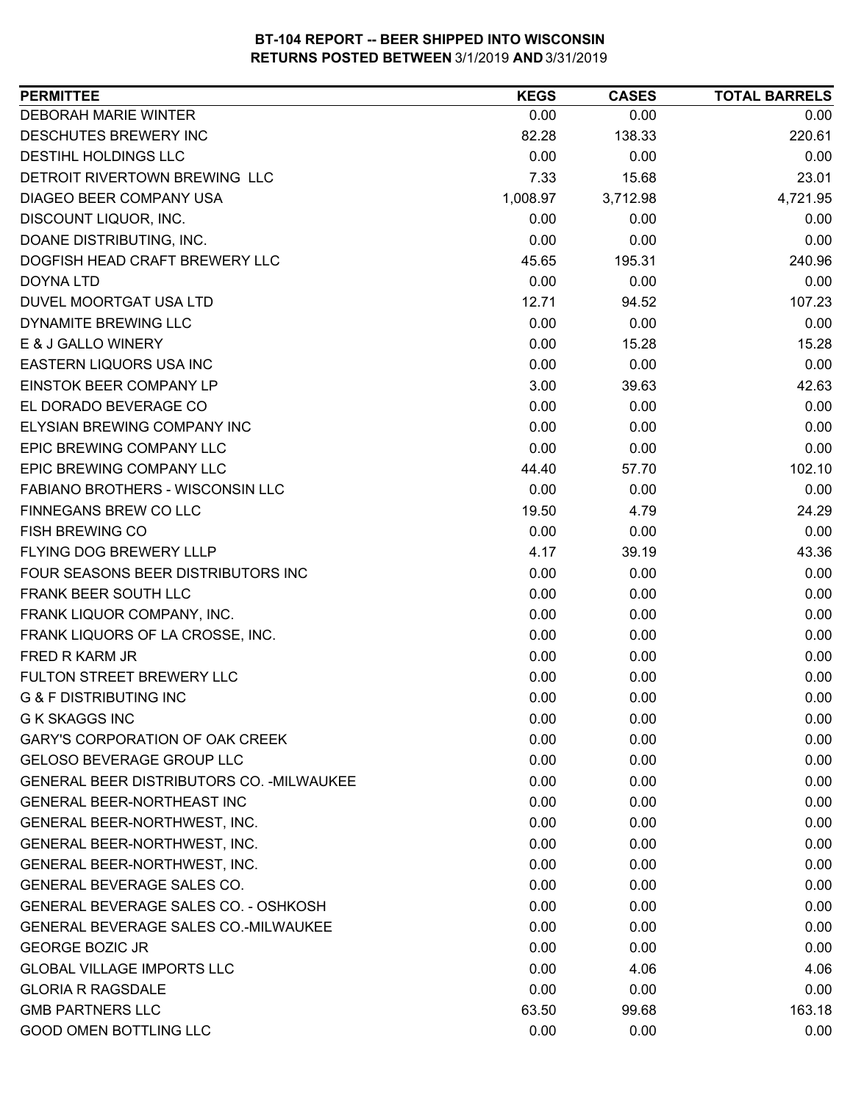| <b>DEBORAH MARIE WINTER</b><br>0.00<br>0.00<br>0.00<br>DESCHUTES BREWERY INC<br>138.33<br>220.61<br>82.28<br>DESTIHL HOLDINGS LLC<br>0.00<br>0.00<br>0.00<br>DETROIT RIVERTOWN BREWING LLC<br>7.33<br>15.68<br>23.01<br>DIAGEO BEER COMPANY USA<br>1,008.97<br>3,712.98<br>4,721.95<br>DISCOUNT LIQUOR, INC.<br>0.00<br>0.00<br>0.00<br>DOANE DISTRIBUTING, INC.<br>0.00<br>0.00<br>0.00<br>DOGFISH HEAD CRAFT BREWERY LLC<br>45.65<br>195.31<br>240.96<br>0.00<br>DOYNA LTD<br>0.00<br>0.00<br>DUVEL MOORTGAT USA LTD<br>12.71<br>107.23<br>94.52<br>DYNAMITE BREWING LLC<br>0.00<br>0.00<br>0.00<br>E & J GALLO WINERY<br>0.00<br>15.28<br>15.28<br>0.00<br>EASTERN LIQUORS USA INC<br>0.00<br>0.00<br><b>EINSTOK BEER COMPANY LP</b><br>3.00<br>39.63<br>42.63<br>EL DORADO BEVERAGE CO<br>0.00<br>0.00<br>0.00<br>0.00<br>ELYSIAN BREWING COMPANY INC<br>0.00<br>0.00<br>EPIC BREWING COMPANY LLC<br>0.00<br>0.00<br>0.00<br>EPIC BREWING COMPANY LLC<br>102.10<br>44.40<br>57.70<br><b>FABIANO BROTHERS - WISCONSIN LLC</b><br>0.00<br>0.00<br>0.00<br>FINNEGANS BREW CO LLC<br>19.50<br>24.29<br>4.79<br>0.00<br><b>FISH BREWING CO</b><br>0.00<br>0.00<br>FLYING DOG BREWERY LLLP<br>4.17<br>43.36<br>39.19<br>FOUR SEASONS BEER DISTRIBUTORS INC<br>0.00<br>0.00<br>0.00<br>FRANK BEER SOUTH LLC<br>0.00<br>0.00<br>0.00<br>FRANK LIQUOR COMPANY, INC.<br>0.00<br>0.00<br>0.00<br>FRANK LIQUORS OF LA CROSSE, INC.<br>0.00<br>0.00<br>0.00<br>FRED R KARM JR<br>0.00<br>0.00<br>0.00<br>FULTON STREET BREWERY LLC<br>0.00<br>0.00<br>0.00<br><b>G &amp; F DISTRIBUTING INC</b><br>0.00<br>0.00<br>0.00<br><b>G K SKAGGS INC</b><br>0.00<br>0.00<br>0.00<br>GARY'S CORPORATION OF OAK CREEK<br>0.00<br>0.00<br>0.00<br><b>GELOSO BEVERAGE GROUP LLC</b><br>0.00<br>0.00<br>0.00<br>GENERAL BEER DISTRIBUTORS CO. - MILWAUKEE<br>0.00<br>0.00<br>0.00<br><b>GENERAL BEER-NORTHEAST INC</b><br>0.00<br>0.00<br>0.00<br>0.00<br>0.00<br>0.00<br>GENERAL BEER-NORTHWEST, INC.<br>GENERAL BEER-NORTHWEST, INC.<br>0.00<br>0.00<br>0.00<br>0.00<br>0.00<br>GENERAL BEER-NORTHWEST, INC.<br>0.00<br>GENERAL BEVERAGE SALES CO.<br>0.00<br>0.00<br>0.00<br>GENERAL BEVERAGE SALES CO. - OSHKOSH<br>0.00<br>0.00<br>0.00<br>GENERAL BEVERAGE SALES CO.-MILWAUKEE<br>0.00<br>0.00<br>0.00<br><b>GEORGE BOZIC JR</b><br>0.00<br>0.00<br>0.00<br><b>GLOBAL VILLAGE IMPORTS LLC</b><br>0.00<br>4.06<br>4.06<br>0.00<br>0.00<br><b>GLORIA R RAGSDALE</b><br>0.00<br><b>GMB PARTNERS LLC</b><br>63.50<br>99.68<br>163.18<br><b>GOOD OMEN BOTTLING LLC</b><br>0.00<br>0.00<br>0.00 | <b>PERMITTEE</b> | <b>KEGS</b> | <b>CASES</b> | <b>TOTAL BARRELS</b> |
|---------------------------------------------------------------------------------------------------------------------------------------------------------------------------------------------------------------------------------------------------------------------------------------------------------------------------------------------------------------------------------------------------------------------------------------------------------------------------------------------------------------------------------------------------------------------------------------------------------------------------------------------------------------------------------------------------------------------------------------------------------------------------------------------------------------------------------------------------------------------------------------------------------------------------------------------------------------------------------------------------------------------------------------------------------------------------------------------------------------------------------------------------------------------------------------------------------------------------------------------------------------------------------------------------------------------------------------------------------------------------------------------------------------------------------------------------------------------------------------------------------------------------------------------------------------------------------------------------------------------------------------------------------------------------------------------------------------------------------------------------------------------------------------------------------------------------------------------------------------------------------------------------------------------------------------------------------------------------------------------------------------------------------------------------------------------------------------------------------------------------------------------------------------------------------------------------------------------------------------------------------------------------------------------------------------------------------------------------------------------------------------------------------------------------------------------------------------------------------------------------------------------------------------------------------------------------|------------------|-------------|--------------|----------------------|
|                                                                                                                                                                                                                                                                                                                                                                                                                                                                                                                                                                                                                                                                                                                                                                                                                                                                                                                                                                                                                                                                                                                                                                                                                                                                                                                                                                                                                                                                                                                                                                                                                                                                                                                                                                                                                                                                                                                                                                                                                                                                                                                                                                                                                                                                                                                                                                                                                                                                                                                                                                           |                  |             |              |                      |
|                                                                                                                                                                                                                                                                                                                                                                                                                                                                                                                                                                                                                                                                                                                                                                                                                                                                                                                                                                                                                                                                                                                                                                                                                                                                                                                                                                                                                                                                                                                                                                                                                                                                                                                                                                                                                                                                                                                                                                                                                                                                                                                                                                                                                                                                                                                                                                                                                                                                                                                                                                           |                  |             |              |                      |
|                                                                                                                                                                                                                                                                                                                                                                                                                                                                                                                                                                                                                                                                                                                                                                                                                                                                                                                                                                                                                                                                                                                                                                                                                                                                                                                                                                                                                                                                                                                                                                                                                                                                                                                                                                                                                                                                                                                                                                                                                                                                                                                                                                                                                                                                                                                                                                                                                                                                                                                                                                           |                  |             |              |                      |
|                                                                                                                                                                                                                                                                                                                                                                                                                                                                                                                                                                                                                                                                                                                                                                                                                                                                                                                                                                                                                                                                                                                                                                                                                                                                                                                                                                                                                                                                                                                                                                                                                                                                                                                                                                                                                                                                                                                                                                                                                                                                                                                                                                                                                                                                                                                                                                                                                                                                                                                                                                           |                  |             |              |                      |
|                                                                                                                                                                                                                                                                                                                                                                                                                                                                                                                                                                                                                                                                                                                                                                                                                                                                                                                                                                                                                                                                                                                                                                                                                                                                                                                                                                                                                                                                                                                                                                                                                                                                                                                                                                                                                                                                                                                                                                                                                                                                                                                                                                                                                                                                                                                                                                                                                                                                                                                                                                           |                  |             |              |                      |
|                                                                                                                                                                                                                                                                                                                                                                                                                                                                                                                                                                                                                                                                                                                                                                                                                                                                                                                                                                                                                                                                                                                                                                                                                                                                                                                                                                                                                                                                                                                                                                                                                                                                                                                                                                                                                                                                                                                                                                                                                                                                                                                                                                                                                                                                                                                                                                                                                                                                                                                                                                           |                  |             |              |                      |
|                                                                                                                                                                                                                                                                                                                                                                                                                                                                                                                                                                                                                                                                                                                                                                                                                                                                                                                                                                                                                                                                                                                                                                                                                                                                                                                                                                                                                                                                                                                                                                                                                                                                                                                                                                                                                                                                                                                                                                                                                                                                                                                                                                                                                                                                                                                                                                                                                                                                                                                                                                           |                  |             |              |                      |
|                                                                                                                                                                                                                                                                                                                                                                                                                                                                                                                                                                                                                                                                                                                                                                                                                                                                                                                                                                                                                                                                                                                                                                                                                                                                                                                                                                                                                                                                                                                                                                                                                                                                                                                                                                                                                                                                                                                                                                                                                                                                                                                                                                                                                                                                                                                                                                                                                                                                                                                                                                           |                  |             |              |                      |
|                                                                                                                                                                                                                                                                                                                                                                                                                                                                                                                                                                                                                                                                                                                                                                                                                                                                                                                                                                                                                                                                                                                                                                                                                                                                                                                                                                                                                                                                                                                                                                                                                                                                                                                                                                                                                                                                                                                                                                                                                                                                                                                                                                                                                                                                                                                                                                                                                                                                                                                                                                           |                  |             |              |                      |
|                                                                                                                                                                                                                                                                                                                                                                                                                                                                                                                                                                                                                                                                                                                                                                                                                                                                                                                                                                                                                                                                                                                                                                                                                                                                                                                                                                                                                                                                                                                                                                                                                                                                                                                                                                                                                                                                                                                                                                                                                                                                                                                                                                                                                                                                                                                                                                                                                                                                                                                                                                           |                  |             |              |                      |
|                                                                                                                                                                                                                                                                                                                                                                                                                                                                                                                                                                                                                                                                                                                                                                                                                                                                                                                                                                                                                                                                                                                                                                                                                                                                                                                                                                                                                                                                                                                                                                                                                                                                                                                                                                                                                                                                                                                                                                                                                                                                                                                                                                                                                                                                                                                                                                                                                                                                                                                                                                           |                  |             |              |                      |
|                                                                                                                                                                                                                                                                                                                                                                                                                                                                                                                                                                                                                                                                                                                                                                                                                                                                                                                                                                                                                                                                                                                                                                                                                                                                                                                                                                                                                                                                                                                                                                                                                                                                                                                                                                                                                                                                                                                                                                                                                                                                                                                                                                                                                                                                                                                                                                                                                                                                                                                                                                           |                  |             |              |                      |
|                                                                                                                                                                                                                                                                                                                                                                                                                                                                                                                                                                                                                                                                                                                                                                                                                                                                                                                                                                                                                                                                                                                                                                                                                                                                                                                                                                                                                                                                                                                                                                                                                                                                                                                                                                                                                                                                                                                                                                                                                                                                                                                                                                                                                                                                                                                                                                                                                                                                                                                                                                           |                  |             |              |                      |
|                                                                                                                                                                                                                                                                                                                                                                                                                                                                                                                                                                                                                                                                                                                                                                                                                                                                                                                                                                                                                                                                                                                                                                                                                                                                                                                                                                                                                                                                                                                                                                                                                                                                                                                                                                                                                                                                                                                                                                                                                                                                                                                                                                                                                                                                                                                                                                                                                                                                                                                                                                           |                  |             |              |                      |
|                                                                                                                                                                                                                                                                                                                                                                                                                                                                                                                                                                                                                                                                                                                                                                                                                                                                                                                                                                                                                                                                                                                                                                                                                                                                                                                                                                                                                                                                                                                                                                                                                                                                                                                                                                                                                                                                                                                                                                                                                                                                                                                                                                                                                                                                                                                                                                                                                                                                                                                                                                           |                  |             |              |                      |
|                                                                                                                                                                                                                                                                                                                                                                                                                                                                                                                                                                                                                                                                                                                                                                                                                                                                                                                                                                                                                                                                                                                                                                                                                                                                                                                                                                                                                                                                                                                                                                                                                                                                                                                                                                                                                                                                                                                                                                                                                                                                                                                                                                                                                                                                                                                                                                                                                                                                                                                                                                           |                  |             |              |                      |
|                                                                                                                                                                                                                                                                                                                                                                                                                                                                                                                                                                                                                                                                                                                                                                                                                                                                                                                                                                                                                                                                                                                                                                                                                                                                                                                                                                                                                                                                                                                                                                                                                                                                                                                                                                                                                                                                                                                                                                                                                                                                                                                                                                                                                                                                                                                                                                                                                                                                                                                                                                           |                  |             |              |                      |
|                                                                                                                                                                                                                                                                                                                                                                                                                                                                                                                                                                                                                                                                                                                                                                                                                                                                                                                                                                                                                                                                                                                                                                                                                                                                                                                                                                                                                                                                                                                                                                                                                                                                                                                                                                                                                                                                                                                                                                                                                                                                                                                                                                                                                                                                                                                                                                                                                                                                                                                                                                           |                  |             |              |                      |
|                                                                                                                                                                                                                                                                                                                                                                                                                                                                                                                                                                                                                                                                                                                                                                                                                                                                                                                                                                                                                                                                                                                                                                                                                                                                                                                                                                                                                                                                                                                                                                                                                                                                                                                                                                                                                                                                                                                                                                                                                                                                                                                                                                                                                                                                                                                                                                                                                                                                                                                                                                           |                  |             |              |                      |
|                                                                                                                                                                                                                                                                                                                                                                                                                                                                                                                                                                                                                                                                                                                                                                                                                                                                                                                                                                                                                                                                                                                                                                                                                                                                                                                                                                                                                                                                                                                                                                                                                                                                                                                                                                                                                                                                                                                                                                                                                                                                                                                                                                                                                                                                                                                                                                                                                                                                                                                                                                           |                  |             |              |                      |
|                                                                                                                                                                                                                                                                                                                                                                                                                                                                                                                                                                                                                                                                                                                                                                                                                                                                                                                                                                                                                                                                                                                                                                                                                                                                                                                                                                                                                                                                                                                                                                                                                                                                                                                                                                                                                                                                                                                                                                                                                                                                                                                                                                                                                                                                                                                                                                                                                                                                                                                                                                           |                  |             |              |                      |
|                                                                                                                                                                                                                                                                                                                                                                                                                                                                                                                                                                                                                                                                                                                                                                                                                                                                                                                                                                                                                                                                                                                                                                                                                                                                                                                                                                                                                                                                                                                                                                                                                                                                                                                                                                                                                                                                                                                                                                                                                                                                                                                                                                                                                                                                                                                                                                                                                                                                                                                                                                           |                  |             |              |                      |
|                                                                                                                                                                                                                                                                                                                                                                                                                                                                                                                                                                                                                                                                                                                                                                                                                                                                                                                                                                                                                                                                                                                                                                                                                                                                                                                                                                                                                                                                                                                                                                                                                                                                                                                                                                                                                                                                                                                                                                                                                                                                                                                                                                                                                                                                                                                                                                                                                                                                                                                                                                           |                  |             |              |                      |
|                                                                                                                                                                                                                                                                                                                                                                                                                                                                                                                                                                                                                                                                                                                                                                                                                                                                                                                                                                                                                                                                                                                                                                                                                                                                                                                                                                                                                                                                                                                                                                                                                                                                                                                                                                                                                                                                                                                                                                                                                                                                                                                                                                                                                                                                                                                                                                                                                                                                                                                                                                           |                  |             |              |                      |
|                                                                                                                                                                                                                                                                                                                                                                                                                                                                                                                                                                                                                                                                                                                                                                                                                                                                                                                                                                                                                                                                                                                                                                                                                                                                                                                                                                                                                                                                                                                                                                                                                                                                                                                                                                                                                                                                                                                                                                                                                                                                                                                                                                                                                                                                                                                                                                                                                                                                                                                                                                           |                  |             |              |                      |
|                                                                                                                                                                                                                                                                                                                                                                                                                                                                                                                                                                                                                                                                                                                                                                                                                                                                                                                                                                                                                                                                                                                                                                                                                                                                                                                                                                                                                                                                                                                                                                                                                                                                                                                                                                                                                                                                                                                                                                                                                                                                                                                                                                                                                                                                                                                                                                                                                                                                                                                                                                           |                  |             |              |                      |
|                                                                                                                                                                                                                                                                                                                                                                                                                                                                                                                                                                                                                                                                                                                                                                                                                                                                                                                                                                                                                                                                                                                                                                                                                                                                                                                                                                                                                                                                                                                                                                                                                                                                                                                                                                                                                                                                                                                                                                                                                                                                                                                                                                                                                                                                                                                                                                                                                                                                                                                                                                           |                  |             |              |                      |
|                                                                                                                                                                                                                                                                                                                                                                                                                                                                                                                                                                                                                                                                                                                                                                                                                                                                                                                                                                                                                                                                                                                                                                                                                                                                                                                                                                                                                                                                                                                                                                                                                                                                                                                                                                                                                                                                                                                                                                                                                                                                                                                                                                                                                                                                                                                                                                                                                                                                                                                                                                           |                  |             |              |                      |
|                                                                                                                                                                                                                                                                                                                                                                                                                                                                                                                                                                                                                                                                                                                                                                                                                                                                                                                                                                                                                                                                                                                                                                                                                                                                                                                                                                                                                                                                                                                                                                                                                                                                                                                                                                                                                                                                                                                                                                                                                                                                                                                                                                                                                                                                                                                                                                                                                                                                                                                                                                           |                  |             |              |                      |
|                                                                                                                                                                                                                                                                                                                                                                                                                                                                                                                                                                                                                                                                                                                                                                                                                                                                                                                                                                                                                                                                                                                                                                                                                                                                                                                                                                                                                                                                                                                                                                                                                                                                                                                                                                                                                                                                                                                                                                                                                                                                                                                                                                                                                                                                                                                                                                                                                                                                                                                                                                           |                  |             |              |                      |
|                                                                                                                                                                                                                                                                                                                                                                                                                                                                                                                                                                                                                                                                                                                                                                                                                                                                                                                                                                                                                                                                                                                                                                                                                                                                                                                                                                                                                                                                                                                                                                                                                                                                                                                                                                                                                                                                                                                                                                                                                                                                                                                                                                                                                                                                                                                                                                                                                                                                                                                                                                           |                  |             |              |                      |
|                                                                                                                                                                                                                                                                                                                                                                                                                                                                                                                                                                                                                                                                                                                                                                                                                                                                                                                                                                                                                                                                                                                                                                                                                                                                                                                                                                                                                                                                                                                                                                                                                                                                                                                                                                                                                                                                                                                                                                                                                                                                                                                                                                                                                                                                                                                                                                                                                                                                                                                                                                           |                  |             |              |                      |
|                                                                                                                                                                                                                                                                                                                                                                                                                                                                                                                                                                                                                                                                                                                                                                                                                                                                                                                                                                                                                                                                                                                                                                                                                                                                                                                                                                                                                                                                                                                                                                                                                                                                                                                                                                                                                                                                                                                                                                                                                                                                                                                                                                                                                                                                                                                                                                                                                                                                                                                                                                           |                  |             |              |                      |
|                                                                                                                                                                                                                                                                                                                                                                                                                                                                                                                                                                                                                                                                                                                                                                                                                                                                                                                                                                                                                                                                                                                                                                                                                                                                                                                                                                                                                                                                                                                                                                                                                                                                                                                                                                                                                                                                                                                                                                                                                                                                                                                                                                                                                                                                                                                                                                                                                                                                                                                                                                           |                  |             |              |                      |
|                                                                                                                                                                                                                                                                                                                                                                                                                                                                                                                                                                                                                                                                                                                                                                                                                                                                                                                                                                                                                                                                                                                                                                                                                                                                                                                                                                                                                                                                                                                                                                                                                                                                                                                                                                                                                                                                                                                                                                                                                                                                                                                                                                                                                                                                                                                                                                                                                                                                                                                                                                           |                  |             |              |                      |
|                                                                                                                                                                                                                                                                                                                                                                                                                                                                                                                                                                                                                                                                                                                                                                                                                                                                                                                                                                                                                                                                                                                                                                                                                                                                                                                                                                                                                                                                                                                                                                                                                                                                                                                                                                                                                                                                                                                                                                                                                                                                                                                                                                                                                                                                                                                                                                                                                                                                                                                                                                           |                  |             |              |                      |
|                                                                                                                                                                                                                                                                                                                                                                                                                                                                                                                                                                                                                                                                                                                                                                                                                                                                                                                                                                                                                                                                                                                                                                                                                                                                                                                                                                                                                                                                                                                                                                                                                                                                                                                                                                                                                                                                                                                                                                                                                                                                                                                                                                                                                                                                                                                                                                                                                                                                                                                                                                           |                  |             |              |                      |
|                                                                                                                                                                                                                                                                                                                                                                                                                                                                                                                                                                                                                                                                                                                                                                                                                                                                                                                                                                                                                                                                                                                                                                                                                                                                                                                                                                                                                                                                                                                                                                                                                                                                                                                                                                                                                                                                                                                                                                                                                                                                                                                                                                                                                                                                                                                                                                                                                                                                                                                                                                           |                  |             |              |                      |
|                                                                                                                                                                                                                                                                                                                                                                                                                                                                                                                                                                                                                                                                                                                                                                                                                                                                                                                                                                                                                                                                                                                                                                                                                                                                                                                                                                                                                                                                                                                                                                                                                                                                                                                                                                                                                                                                                                                                                                                                                                                                                                                                                                                                                                                                                                                                                                                                                                                                                                                                                                           |                  |             |              |                      |
|                                                                                                                                                                                                                                                                                                                                                                                                                                                                                                                                                                                                                                                                                                                                                                                                                                                                                                                                                                                                                                                                                                                                                                                                                                                                                                                                                                                                                                                                                                                                                                                                                                                                                                                                                                                                                                                                                                                                                                                                                                                                                                                                                                                                                                                                                                                                                                                                                                                                                                                                                                           |                  |             |              |                      |
|                                                                                                                                                                                                                                                                                                                                                                                                                                                                                                                                                                                                                                                                                                                                                                                                                                                                                                                                                                                                                                                                                                                                                                                                                                                                                                                                                                                                                                                                                                                                                                                                                                                                                                                                                                                                                                                                                                                                                                                                                                                                                                                                                                                                                                                                                                                                                                                                                                                                                                                                                                           |                  |             |              |                      |
|                                                                                                                                                                                                                                                                                                                                                                                                                                                                                                                                                                                                                                                                                                                                                                                                                                                                                                                                                                                                                                                                                                                                                                                                                                                                                                                                                                                                                                                                                                                                                                                                                                                                                                                                                                                                                                                                                                                                                                                                                                                                                                                                                                                                                                                                                                                                                                                                                                                                                                                                                                           |                  |             |              |                      |
|                                                                                                                                                                                                                                                                                                                                                                                                                                                                                                                                                                                                                                                                                                                                                                                                                                                                                                                                                                                                                                                                                                                                                                                                                                                                                                                                                                                                                                                                                                                                                                                                                                                                                                                                                                                                                                                                                                                                                                                                                                                                                                                                                                                                                                                                                                                                                                                                                                                                                                                                                                           |                  |             |              |                      |
|                                                                                                                                                                                                                                                                                                                                                                                                                                                                                                                                                                                                                                                                                                                                                                                                                                                                                                                                                                                                                                                                                                                                                                                                                                                                                                                                                                                                                                                                                                                                                                                                                                                                                                                                                                                                                                                                                                                                                                                                                                                                                                                                                                                                                                                                                                                                                                                                                                                                                                                                                                           |                  |             |              |                      |
|                                                                                                                                                                                                                                                                                                                                                                                                                                                                                                                                                                                                                                                                                                                                                                                                                                                                                                                                                                                                                                                                                                                                                                                                                                                                                                                                                                                                                                                                                                                                                                                                                                                                                                                                                                                                                                                                                                                                                                                                                                                                                                                                                                                                                                                                                                                                                                                                                                                                                                                                                                           |                  |             |              |                      |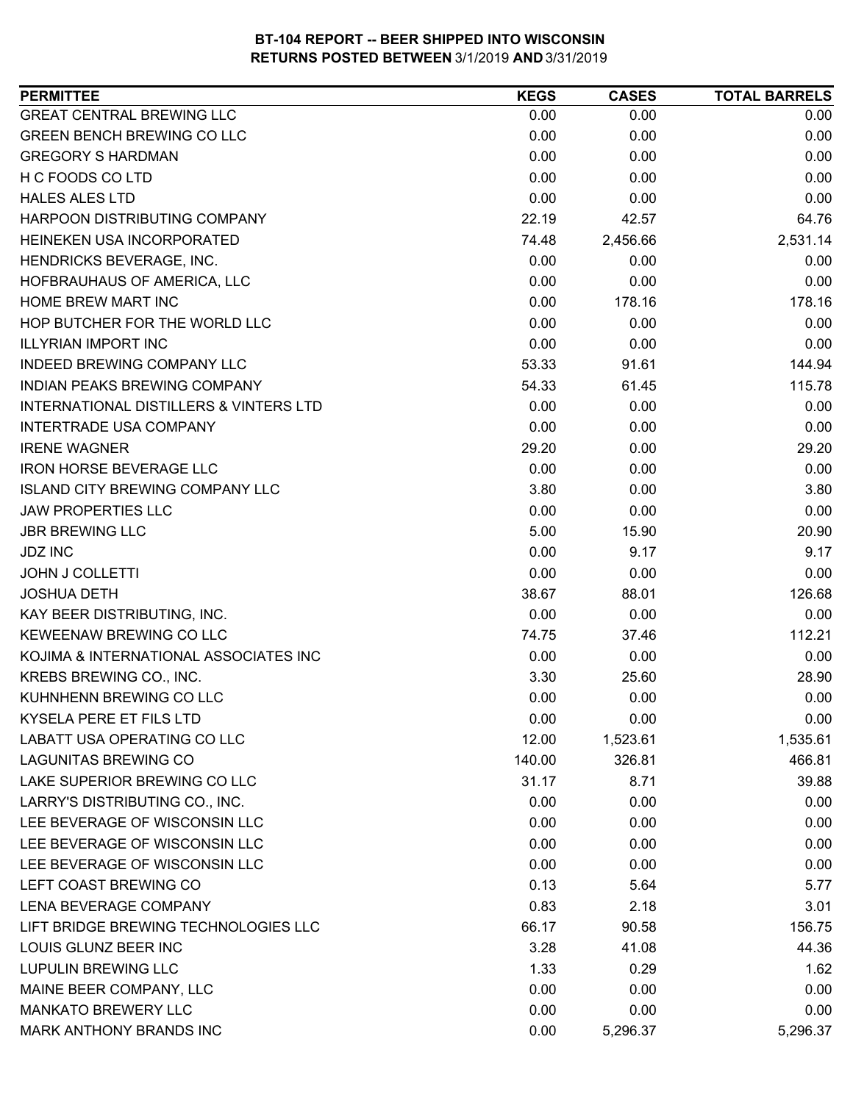| <b>PERMITTEE</b>                                  | <b>KEGS</b> | <b>CASES</b> | <b>TOTAL BARRELS</b> |
|---------------------------------------------------|-------------|--------------|----------------------|
| <b>GREAT CENTRAL BREWING LLC</b>                  | 0.00        | 0.00         | 0.00                 |
| <b>GREEN BENCH BREWING CO LLC</b>                 | 0.00        | 0.00         | 0.00                 |
| <b>GREGORY S HARDMAN</b>                          | 0.00        | 0.00         | 0.00                 |
| H C FOODS CO LTD                                  | 0.00        | 0.00         | 0.00                 |
| <b>HALES ALES LTD</b>                             | 0.00        | 0.00         | 0.00                 |
| HARPOON DISTRIBUTING COMPANY                      | 22.19       | 42.57        | 64.76                |
| HEINEKEN USA INCORPORATED                         | 74.48       | 2,456.66     | 2,531.14             |
| HENDRICKS BEVERAGE, INC.                          | 0.00        | 0.00         | 0.00                 |
| HOFBRAUHAUS OF AMERICA, LLC                       | 0.00        | 0.00         | 0.00                 |
| HOME BREW MART INC                                | 0.00        | 178.16       | 178.16               |
| HOP BUTCHER FOR THE WORLD LLC                     | 0.00        | 0.00         | 0.00                 |
| <b>ILLYRIAN IMPORT INC</b>                        | 0.00        | 0.00         | 0.00                 |
| INDEED BREWING COMPANY LLC                        | 53.33       | 91.61        | 144.94               |
| INDIAN PEAKS BREWING COMPANY                      | 54.33       | 61.45        | 115.78               |
| <b>INTERNATIONAL DISTILLERS &amp; VINTERS LTD</b> | 0.00        | 0.00         | 0.00                 |
| <b>INTERTRADE USA COMPANY</b>                     | 0.00        | 0.00         | 0.00                 |
| <b>IRENE WAGNER</b>                               | 29.20       | 0.00         | 29.20                |
| <b>IRON HORSE BEVERAGE LLC</b>                    | 0.00        | 0.00         | 0.00                 |
| <b>ISLAND CITY BREWING COMPANY LLC</b>            | 3.80        | 0.00         | 3.80                 |
| <b>JAW PROPERTIES LLC</b>                         | 0.00        | 0.00         | 0.00                 |
| <b>JBR BREWING LLC</b>                            | 5.00        | 15.90        | 20.90                |
| <b>JDZ INC</b>                                    | 0.00        | 9.17         | 9.17                 |
| <b>JOHN J COLLETTI</b>                            | 0.00        | 0.00         | 0.00                 |
| <b>JOSHUA DETH</b>                                | 38.67       | 88.01        | 126.68               |
| KAY BEER DISTRIBUTING, INC.                       | 0.00        | 0.00         | 0.00                 |
| KEWEENAW BREWING CO LLC                           | 74.75       | 37.46        | 112.21               |
| KOJIMA & INTERNATIONAL ASSOCIATES INC             | 0.00        | 0.00         | 0.00                 |
| KREBS BREWING CO., INC.                           | 3.30        | 25.60        | 28.90                |
| KUHNHENN BREWING CO LLC                           | 0.00        | 0.00         | 0.00                 |
| KYSELA PERE ET FILS LTD                           | 0.00        | 0.00         | 0.00                 |
| LABATT USA OPERATING CO LLC                       | 12.00       | 1,523.61     | 1,535.61             |
| <b>LAGUNITAS BREWING CO</b>                       | 140.00      | 326.81       | 466.81               |
| LAKE SUPERIOR BREWING CO LLC                      | 31.17       | 8.71         | 39.88                |
| LARRY'S DISTRIBUTING CO., INC.                    | 0.00        | 0.00         | 0.00                 |
| LEE BEVERAGE OF WISCONSIN LLC                     | 0.00        | 0.00         | 0.00                 |
| LEE BEVERAGE OF WISCONSIN LLC                     | 0.00        | 0.00         | 0.00                 |
| LEE BEVERAGE OF WISCONSIN LLC                     | 0.00        | 0.00         | 0.00                 |
| LEFT COAST BREWING CO                             | 0.13        | 5.64         | 5.77                 |
| LENA BEVERAGE COMPANY                             | 0.83        | 2.18         | 3.01                 |
| LIFT BRIDGE BREWING TECHNOLOGIES LLC              | 66.17       | 90.58        | 156.75               |
| LOUIS GLUNZ BEER INC                              | 3.28        | 41.08        | 44.36                |
| <b>LUPULIN BREWING LLC</b>                        | 1.33        | 0.29         | 1.62                 |
| MAINE BEER COMPANY, LLC                           | 0.00        | 0.00         | 0.00                 |
| <b>MANKATO BREWERY LLC</b>                        | 0.00        | 0.00         | 0.00                 |
| MARK ANTHONY BRANDS INC                           | 0.00        | 5,296.37     | 5,296.37             |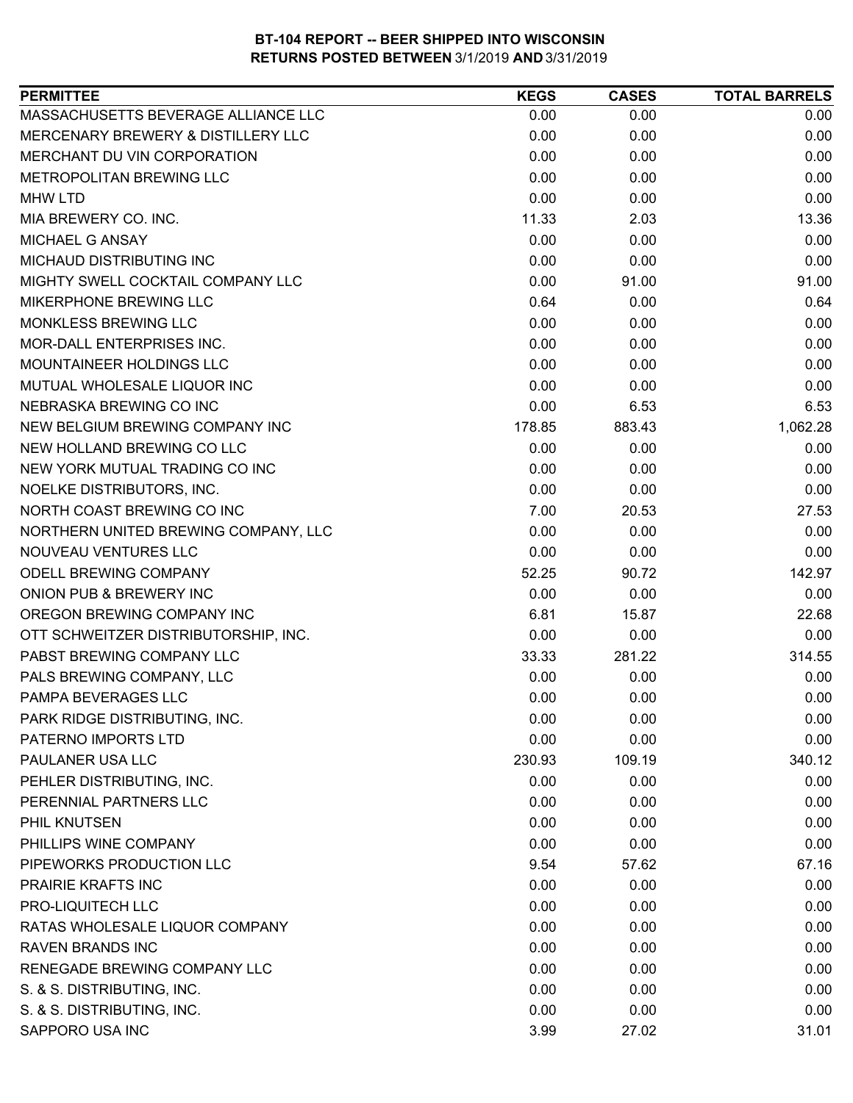| MASSACHUSETTS BEVERAGE ALLIANCE LLC<br>0.00<br>0.00<br>MERCENARY BREWERY & DISTILLERY LLC<br>0.00<br>0.00<br>MERCHANT DU VIN CORPORATION<br>0.00<br>0.00 | 0.00<br>0.00 |
|----------------------------------------------------------------------------------------------------------------------------------------------------------|--------------|
|                                                                                                                                                          |              |
|                                                                                                                                                          |              |
|                                                                                                                                                          | 0.00         |
| METROPOLITAN BREWING LLC<br>0.00<br>0.00                                                                                                                 | 0.00         |
| 0.00<br>0.00<br><b>MHW LTD</b>                                                                                                                           | 0.00         |
| MIA BREWERY CO. INC.<br>11.33<br>2.03                                                                                                                    | 13.36        |
| MICHAEL G ANSAY<br>0.00<br>0.00                                                                                                                          | 0.00         |
| 0.00<br>MICHAUD DISTRIBUTING INC<br>0.00                                                                                                                 | 0.00         |
| 0.00<br>MIGHTY SWELL COCKTAIL COMPANY LLC<br>91.00                                                                                                       | 91.00        |
| MIKERPHONE BREWING LLC<br>0.64<br>0.00                                                                                                                   | 0.64         |
| MONKLESS BREWING LLC<br>0.00<br>0.00                                                                                                                     | 0.00         |
| 0.00<br>MOR-DALL ENTERPRISES INC.<br>0.00                                                                                                                | 0.00         |
| 0.00<br><b>MOUNTAINEER HOLDINGS LLC</b><br>0.00                                                                                                          | 0.00         |
| MUTUAL WHOLESALE LIQUOR INC<br>0.00<br>0.00                                                                                                              | 0.00         |
| NEBRASKA BREWING CO INC<br>0.00<br>6.53                                                                                                                  | 6.53         |
| NEW BELGIUM BREWING COMPANY INC<br>178.85<br>883.43                                                                                                      | 1,062.28     |
| 0.00<br>NEW HOLLAND BREWING CO LLC<br>0.00                                                                                                               | 0.00         |
| NEW YORK MUTUAL TRADING CO INC<br>0.00<br>0.00                                                                                                           | 0.00         |
| NOELKE DISTRIBUTORS, INC.<br>0.00<br>0.00                                                                                                                | 0.00         |
| NORTH COAST BREWING CO INC<br>7.00<br>20.53                                                                                                              | 27.53        |
| 0.00<br>NORTHERN UNITED BREWING COMPANY, LLC<br>0.00                                                                                                     | 0.00         |
| NOUVEAU VENTURES LLC<br>0.00<br>0.00                                                                                                                     | 0.00         |
| ODELL BREWING COMPANY<br>52.25<br>90.72                                                                                                                  | 142.97       |
| ONION PUB & BREWERY INC<br>0.00<br>0.00                                                                                                                  | 0.00         |
| OREGON BREWING COMPANY INC<br>6.81<br>15.87                                                                                                              | 22.68        |
| OTT SCHWEITZER DISTRIBUTORSHIP, INC.<br>0.00<br>0.00                                                                                                     | 0.00         |
| PABST BREWING COMPANY LLC<br>281.22<br>33.33                                                                                                             | 314.55       |
| PALS BREWING COMPANY, LLC<br>0.00<br>0.00                                                                                                                | 0.00         |
| 0.00<br>PAMPA BEVERAGES LLC<br>0.00                                                                                                                      | 0.00         |
| PARK RIDGE DISTRIBUTING, INC.<br>0.00<br>0.00                                                                                                            | 0.00         |
| 0.00<br>0.00<br>PATERNO IMPORTS LTD                                                                                                                      | 0.00         |
| PAULANER USA LLC<br>230.93<br>109.19                                                                                                                     | 340.12       |
| PEHLER DISTRIBUTING, INC.<br>0.00<br>0.00                                                                                                                | 0.00         |
| PERENNIAL PARTNERS LLC<br>0.00<br>0.00                                                                                                                   | 0.00         |
| 0.00<br>0.00<br>PHIL KNUTSEN                                                                                                                             | 0.00         |
| PHILLIPS WINE COMPANY<br>0.00<br>0.00                                                                                                                    | 0.00         |
| PIPEWORKS PRODUCTION LLC<br>9.54<br>57.62                                                                                                                | 67.16        |
| <b>PRAIRIE KRAFTS INC</b><br>0.00<br>0.00                                                                                                                | 0.00         |
| PRO-LIQUITECH LLC<br>0.00<br>0.00                                                                                                                        | 0.00         |
| RATAS WHOLESALE LIQUOR COMPANY<br>0.00<br>0.00                                                                                                           | 0.00         |
| 0.00<br><b>RAVEN BRANDS INC</b><br>0.00                                                                                                                  | 0.00         |
| RENEGADE BREWING COMPANY LLC<br>0.00<br>0.00                                                                                                             | 0.00         |
| 0.00<br>S. & S. DISTRIBUTING, INC.<br>0.00                                                                                                               | 0.00         |
| S. & S. DISTRIBUTING, INC.<br>0.00<br>0.00                                                                                                               | 0.00         |
| SAPPORO USA INC<br>3.99<br>27.02                                                                                                                         | 31.01        |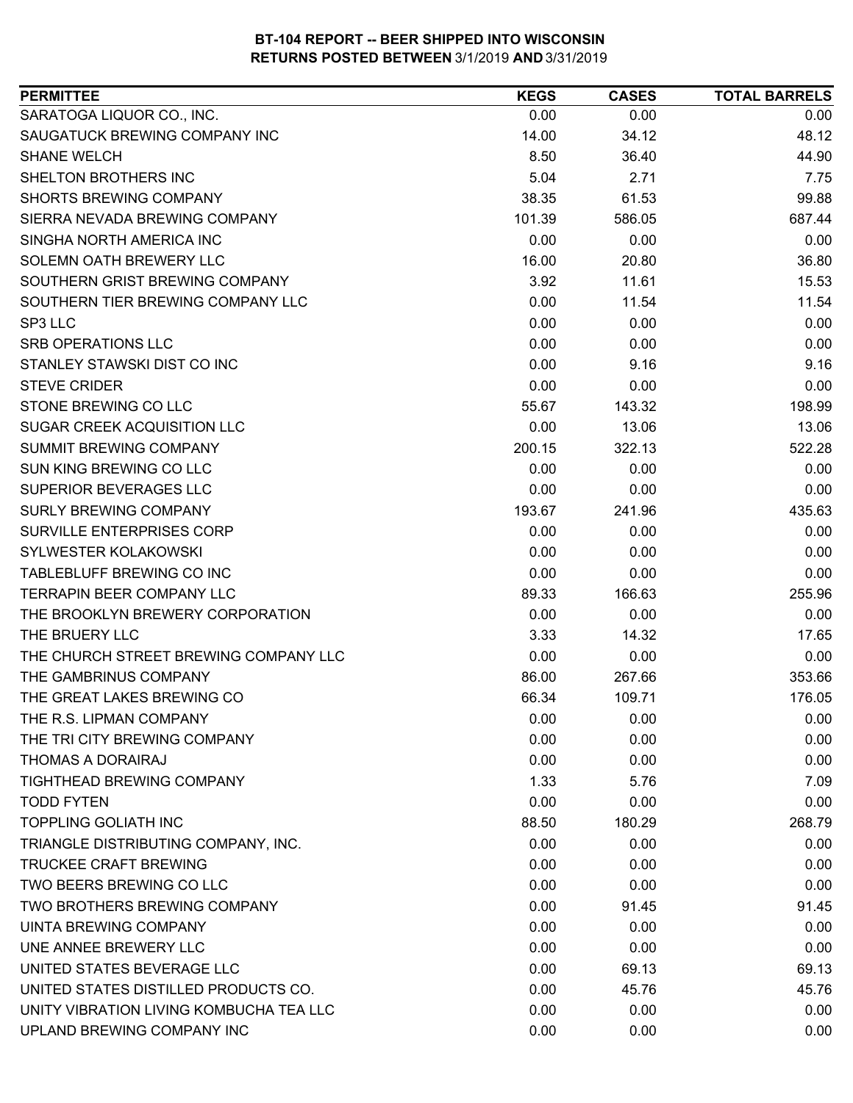| SARATOGA LIQUOR CO., INC.<br>0.00<br>0.00<br>0.00<br>SAUGATUCK BREWING COMPANY INC<br>48.12<br>14.00<br>34.12<br><b>SHANE WELCH</b><br>8.50<br>36.40<br>44.90<br>5.04<br>SHELTON BROTHERS INC<br>2.71<br>7.75<br><b>SHORTS BREWING COMPANY</b><br>99.88<br>38.35<br>61.53<br>SIERRA NEVADA BREWING COMPANY<br>586.05<br>687.44<br>101.39<br>SINGHA NORTH AMERICA INC<br>0.00<br>0.00<br>0.00<br>SOLEMN OATH BREWERY LLC<br>16.00<br>36.80<br>20.80<br>SOUTHERN GRIST BREWING COMPANY<br>3.92<br>15.53<br>11.61<br>SOUTHERN TIER BREWING COMPANY LLC<br>0.00<br>11.54<br>11.54<br>0.00<br>0.00<br>SP3 LLC<br>0.00<br>0.00<br>SRB OPERATIONS LLC<br>0.00<br>0.00<br>STANLEY STAWSKI DIST CO INC<br>0.00<br>9.16<br>9.16<br><b>STEVE CRIDER</b><br>0.00<br>0.00<br>0.00<br>STONE BREWING CO LLC<br>198.99<br>55.67<br>143.32<br><b>SUGAR CREEK ACQUISITION LLC</b><br>0.00<br>13.06<br>13.06<br>SUMMIT BREWING COMPANY<br>200.15<br>322.13<br>522.28<br>SUN KING BREWING CO LLC<br>0.00<br>0.00<br>0.00<br>SUPERIOR BEVERAGES LLC<br>0.00<br>0.00<br>0.00<br>435.63<br><b>SURLY BREWING COMPANY</b><br>193.67<br>241.96<br>SURVILLE ENTERPRISES CORP<br>0.00<br>0.00<br>0.00<br>SYLWESTER KOLAKOWSKI<br>0.00<br>0.00<br>0.00<br>TABLEBLUFF BREWING CO INC<br>0.00<br>0.00<br>0.00<br><b>TERRAPIN BEER COMPANY LLC</b><br>166.63<br>255.96<br>89.33<br>THE BROOKLYN BREWERY CORPORATION<br>0.00<br>0.00<br>0.00<br>THE BRUERY LLC<br>3.33<br>14.32<br>17.65<br>THE CHURCH STREET BREWING COMPANY LLC<br>0.00<br>0.00<br>0.00<br>THE GAMBRINUS COMPANY<br>86.00<br>267.66<br>353.66<br>THE GREAT LAKES BREWING CO<br>176.05<br>66.34<br>109.71<br>THE R.S. LIPMAN COMPANY<br>0.00<br>0.00<br>0.00<br>0.00<br>THE TRI CITY BREWING COMPANY<br>0.00<br>0.00<br>THOMAS A DORAIRAJ<br>0.00<br>0.00<br>0.00<br><b>TIGHTHEAD BREWING COMPANY</b><br>1.33<br>5.76<br>7.09<br><b>TODD FYTEN</b><br>0.00<br>0.00<br>0.00<br>268.79<br><b>TOPPLING GOLIATH INC</b><br>88.50<br>180.29<br>TRIANGLE DISTRIBUTING COMPANY, INC.<br>0.00<br>0.00<br>0.00<br><b>TRUCKEE CRAFT BREWING</b><br>0.00<br>0.00<br>0.00<br><b>TWO BEERS BREWING CO LLC</b><br>0.00<br>0.00<br>0.00<br>TWO BROTHERS BREWING COMPANY<br>0.00<br>91.45<br>91.45<br>UINTA BREWING COMPANY<br>0.00<br>0.00<br>0.00<br>UNE ANNEE BREWERY LLC<br>0.00<br>0.00<br>0.00<br>UNITED STATES BEVERAGE LLC<br>0.00<br>69.13<br>69.13<br>UNITED STATES DISTILLED PRODUCTS CO.<br>0.00<br>45.76<br>45.76<br>UNITY VIBRATION LIVING KOMBUCHA TEA LLC<br>0.00<br>0.00<br>0.00<br>UPLAND BREWING COMPANY INC<br>0.00<br>0.00<br>0.00 | <b>PERMITTEE</b> | <b>KEGS</b> | <b>CASES</b> | <b>TOTAL BARRELS</b> |
|-------------------------------------------------------------------------------------------------------------------------------------------------------------------------------------------------------------------------------------------------------------------------------------------------------------------------------------------------------------------------------------------------------------------------------------------------------------------------------------------------------------------------------------------------------------------------------------------------------------------------------------------------------------------------------------------------------------------------------------------------------------------------------------------------------------------------------------------------------------------------------------------------------------------------------------------------------------------------------------------------------------------------------------------------------------------------------------------------------------------------------------------------------------------------------------------------------------------------------------------------------------------------------------------------------------------------------------------------------------------------------------------------------------------------------------------------------------------------------------------------------------------------------------------------------------------------------------------------------------------------------------------------------------------------------------------------------------------------------------------------------------------------------------------------------------------------------------------------------------------------------------------------------------------------------------------------------------------------------------------------------------------------------------------------------------------------------------------------------------------------------------------------------------------------------------------------------------------------------------------------------------------------------------------------------------------------------------------------------------------------------------------------------------------------------------------------------------------------------------------------------------------------------------------------------------------------|------------------|-------------|--------------|----------------------|
|                                                                                                                                                                                                                                                                                                                                                                                                                                                                                                                                                                                                                                                                                                                                                                                                                                                                                                                                                                                                                                                                                                                                                                                                                                                                                                                                                                                                                                                                                                                                                                                                                                                                                                                                                                                                                                                                                                                                                                                                                                                                                                                                                                                                                                                                                                                                                                                                                                                                                                                                                                         |                  |             |              |                      |
|                                                                                                                                                                                                                                                                                                                                                                                                                                                                                                                                                                                                                                                                                                                                                                                                                                                                                                                                                                                                                                                                                                                                                                                                                                                                                                                                                                                                                                                                                                                                                                                                                                                                                                                                                                                                                                                                                                                                                                                                                                                                                                                                                                                                                                                                                                                                                                                                                                                                                                                                                                         |                  |             |              |                      |
|                                                                                                                                                                                                                                                                                                                                                                                                                                                                                                                                                                                                                                                                                                                                                                                                                                                                                                                                                                                                                                                                                                                                                                                                                                                                                                                                                                                                                                                                                                                                                                                                                                                                                                                                                                                                                                                                                                                                                                                                                                                                                                                                                                                                                                                                                                                                                                                                                                                                                                                                                                         |                  |             |              |                      |
|                                                                                                                                                                                                                                                                                                                                                                                                                                                                                                                                                                                                                                                                                                                                                                                                                                                                                                                                                                                                                                                                                                                                                                                                                                                                                                                                                                                                                                                                                                                                                                                                                                                                                                                                                                                                                                                                                                                                                                                                                                                                                                                                                                                                                                                                                                                                                                                                                                                                                                                                                                         |                  |             |              |                      |
|                                                                                                                                                                                                                                                                                                                                                                                                                                                                                                                                                                                                                                                                                                                                                                                                                                                                                                                                                                                                                                                                                                                                                                                                                                                                                                                                                                                                                                                                                                                                                                                                                                                                                                                                                                                                                                                                                                                                                                                                                                                                                                                                                                                                                                                                                                                                                                                                                                                                                                                                                                         |                  |             |              |                      |
|                                                                                                                                                                                                                                                                                                                                                                                                                                                                                                                                                                                                                                                                                                                                                                                                                                                                                                                                                                                                                                                                                                                                                                                                                                                                                                                                                                                                                                                                                                                                                                                                                                                                                                                                                                                                                                                                                                                                                                                                                                                                                                                                                                                                                                                                                                                                                                                                                                                                                                                                                                         |                  |             |              |                      |
|                                                                                                                                                                                                                                                                                                                                                                                                                                                                                                                                                                                                                                                                                                                                                                                                                                                                                                                                                                                                                                                                                                                                                                                                                                                                                                                                                                                                                                                                                                                                                                                                                                                                                                                                                                                                                                                                                                                                                                                                                                                                                                                                                                                                                                                                                                                                                                                                                                                                                                                                                                         |                  |             |              |                      |
|                                                                                                                                                                                                                                                                                                                                                                                                                                                                                                                                                                                                                                                                                                                                                                                                                                                                                                                                                                                                                                                                                                                                                                                                                                                                                                                                                                                                                                                                                                                                                                                                                                                                                                                                                                                                                                                                                                                                                                                                                                                                                                                                                                                                                                                                                                                                                                                                                                                                                                                                                                         |                  |             |              |                      |
|                                                                                                                                                                                                                                                                                                                                                                                                                                                                                                                                                                                                                                                                                                                                                                                                                                                                                                                                                                                                                                                                                                                                                                                                                                                                                                                                                                                                                                                                                                                                                                                                                                                                                                                                                                                                                                                                                                                                                                                                                                                                                                                                                                                                                                                                                                                                                                                                                                                                                                                                                                         |                  |             |              |                      |
|                                                                                                                                                                                                                                                                                                                                                                                                                                                                                                                                                                                                                                                                                                                                                                                                                                                                                                                                                                                                                                                                                                                                                                                                                                                                                                                                                                                                                                                                                                                                                                                                                                                                                                                                                                                                                                                                                                                                                                                                                                                                                                                                                                                                                                                                                                                                                                                                                                                                                                                                                                         |                  |             |              |                      |
|                                                                                                                                                                                                                                                                                                                                                                                                                                                                                                                                                                                                                                                                                                                                                                                                                                                                                                                                                                                                                                                                                                                                                                                                                                                                                                                                                                                                                                                                                                                                                                                                                                                                                                                                                                                                                                                                                                                                                                                                                                                                                                                                                                                                                                                                                                                                                                                                                                                                                                                                                                         |                  |             |              |                      |
|                                                                                                                                                                                                                                                                                                                                                                                                                                                                                                                                                                                                                                                                                                                                                                                                                                                                                                                                                                                                                                                                                                                                                                                                                                                                                                                                                                                                                                                                                                                                                                                                                                                                                                                                                                                                                                                                                                                                                                                                                                                                                                                                                                                                                                                                                                                                                                                                                                                                                                                                                                         |                  |             |              |                      |
|                                                                                                                                                                                                                                                                                                                                                                                                                                                                                                                                                                                                                                                                                                                                                                                                                                                                                                                                                                                                                                                                                                                                                                                                                                                                                                                                                                                                                                                                                                                                                                                                                                                                                                                                                                                                                                                                                                                                                                                                                                                                                                                                                                                                                                                                                                                                                                                                                                                                                                                                                                         |                  |             |              |                      |
|                                                                                                                                                                                                                                                                                                                                                                                                                                                                                                                                                                                                                                                                                                                                                                                                                                                                                                                                                                                                                                                                                                                                                                                                                                                                                                                                                                                                                                                                                                                                                                                                                                                                                                                                                                                                                                                                                                                                                                                                                                                                                                                                                                                                                                                                                                                                                                                                                                                                                                                                                                         |                  |             |              |                      |
|                                                                                                                                                                                                                                                                                                                                                                                                                                                                                                                                                                                                                                                                                                                                                                                                                                                                                                                                                                                                                                                                                                                                                                                                                                                                                                                                                                                                                                                                                                                                                                                                                                                                                                                                                                                                                                                                                                                                                                                                                                                                                                                                                                                                                                                                                                                                                                                                                                                                                                                                                                         |                  |             |              |                      |
|                                                                                                                                                                                                                                                                                                                                                                                                                                                                                                                                                                                                                                                                                                                                                                                                                                                                                                                                                                                                                                                                                                                                                                                                                                                                                                                                                                                                                                                                                                                                                                                                                                                                                                                                                                                                                                                                                                                                                                                                                                                                                                                                                                                                                                                                                                                                                                                                                                                                                                                                                                         |                  |             |              |                      |
|                                                                                                                                                                                                                                                                                                                                                                                                                                                                                                                                                                                                                                                                                                                                                                                                                                                                                                                                                                                                                                                                                                                                                                                                                                                                                                                                                                                                                                                                                                                                                                                                                                                                                                                                                                                                                                                                                                                                                                                                                                                                                                                                                                                                                                                                                                                                                                                                                                                                                                                                                                         |                  |             |              |                      |
|                                                                                                                                                                                                                                                                                                                                                                                                                                                                                                                                                                                                                                                                                                                                                                                                                                                                                                                                                                                                                                                                                                                                                                                                                                                                                                                                                                                                                                                                                                                                                                                                                                                                                                                                                                                                                                                                                                                                                                                                                                                                                                                                                                                                                                                                                                                                                                                                                                                                                                                                                                         |                  |             |              |                      |
|                                                                                                                                                                                                                                                                                                                                                                                                                                                                                                                                                                                                                                                                                                                                                                                                                                                                                                                                                                                                                                                                                                                                                                                                                                                                                                                                                                                                                                                                                                                                                                                                                                                                                                                                                                                                                                                                                                                                                                                                                                                                                                                                                                                                                                                                                                                                                                                                                                                                                                                                                                         |                  |             |              |                      |
|                                                                                                                                                                                                                                                                                                                                                                                                                                                                                                                                                                                                                                                                                                                                                                                                                                                                                                                                                                                                                                                                                                                                                                                                                                                                                                                                                                                                                                                                                                                                                                                                                                                                                                                                                                                                                                                                                                                                                                                                                                                                                                                                                                                                                                                                                                                                                                                                                                                                                                                                                                         |                  |             |              |                      |
|                                                                                                                                                                                                                                                                                                                                                                                                                                                                                                                                                                                                                                                                                                                                                                                                                                                                                                                                                                                                                                                                                                                                                                                                                                                                                                                                                                                                                                                                                                                                                                                                                                                                                                                                                                                                                                                                                                                                                                                                                                                                                                                                                                                                                                                                                                                                                                                                                                                                                                                                                                         |                  |             |              |                      |
|                                                                                                                                                                                                                                                                                                                                                                                                                                                                                                                                                                                                                                                                                                                                                                                                                                                                                                                                                                                                                                                                                                                                                                                                                                                                                                                                                                                                                                                                                                                                                                                                                                                                                                                                                                                                                                                                                                                                                                                                                                                                                                                                                                                                                                                                                                                                                                                                                                                                                                                                                                         |                  |             |              |                      |
|                                                                                                                                                                                                                                                                                                                                                                                                                                                                                                                                                                                                                                                                                                                                                                                                                                                                                                                                                                                                                                                                                                                                                                                                                                                                                                                                                                                                                                                                                                                                                                                                                                                                                                                                                                                                                                                                                                                                                                                                                                                                                                                                                                                                                                                                                                                                                                                                                                                                                                                                                                         |                  |             |              |                      |
|                                                                                                                                                                                                                                                                                                                                                                                                                                                                                                                                                                                                                                                                                                                                                                                                                                                                                                                                                                                                                                                                                                                                                                                                                                                                                                                                                                                                                                                                                                                                                                                                                                                                                                                                                                                                                                                                                                                                                                                                                                                                                                                                                                                                                                                                                                                                                                                                                                                                                                                                                                         |                  |             |              |                      |
|                                                                                                                                                                                                                                                                                                                                                                                                                                                                                                                                                                                                                                                                                                                                                                                                                                                                                                                                                                                                                                                                                                                                                                                                                                                                                                                                                                                                                                                                                                                                                                                                                                                                                                                                                                                                                                                                                                                                                                                                                                                                                                                                                                                                                                                                                                                                                                                                                                                                                                                                                                         |                  |             |              |                      |
|                                                                                                                                                                                                                                                                                                                                                                                                                                                                                                                                                                                                                                                                                                                                                                                                                                                                                                                                                                                                                                                                                                                                                                                                                                                                                                                                                                                                                                                                                                                                                                                                                                                                                                                                                                                                                                                                                                                                                                                                                                                                                                                                                                                                                                                                                                                                                                                                                                                                                                                                                                         |                  |             |              |                      |
|                                                                                                                                                                                                                                                                                                                                                                                                                                                                                                                                                                                                                                                                                                                                                                                                                                                                                                                                                                                                                                                                                                                                                                                                                                                                                                                                                                                                                                                                                                                                                                                                                                                                                                                                                                                                                                                                                                                                                                                                                                                                                                                                                                                                                                                                                                                                                                                                                                                                                                                                                                         |                  |             |              |                      |
|                                                                                                                                                                                                                                                                                                                                                                                                                                                                                                                                                                                                                                                                                                                                                                                                                                                                                                                                                                                                                                                                                                                                                                                                                                                                                                                                                                                                                                                                                                                                                                                                                                                                                                                                                                                                                                                                                                                                                                                                                                                                                                                                                                                                                                                                                                                                                                                                                                                                                                                                                                         |                  |             |              |                      |
|                                                                                                                                                                                                                                                                                                                                                                                                                                                                                                                                                                                                                                                                                                                                                                                                                                                                                                                                                                                                                                                                                                                                                                                                                                                                                                                                                                                                                                                                                                                                                                                                                                                                                                                                                                                                                                                                                                                                                                                                                                                                                                                                                                                                                                                                                                                                                                                                                                                                                                                                                                         |                  |             |              |                      |
|                                                                                                                                                                                                                                                                                                                                                                                                                                                                                                                                                                                                                                                                                                                                                                                                                                                                                                                                                                                                                                                                                                                                                                                                                                                                                                                                                                                                                                                                                                                                                                                                                                                                                                                                                                                                                                                                                                                                                                                                                                                                                                                                                                                                                                                                                                                                                                                                                                                                                                                                                                         |                  |             |              |                      |
|                                                                                                                                                                                                                                                                                                                                                                                                                                                                                                                                                                                                                                                                                                                                                                                                                                                                                                                                                                                                                                                                                                                                                                                                                                                                                                                                                                                                                                                                                                                                                                                                                                                                                                                                                                                                                                                                                                                                                                                                                                                                                                                                                                                                                                                                                                                                                                                                                                                                                                                                                                         |                  |             |              |                      |
|                                                                                                                                                                                                                                                                                                                                                                                                                                                                                                                                                                                                                                                                                                                                                                                                                                                                                                                                                                                                                                                                                                                                                                                                                                                                                                                                                                                                                                                                                                                                                                                                                                                                                                                                                                                                                                                                                                                                                                                                                                                                                                                                                                                                                                                                                                                                                                                                                                                                                                                                                                         |                  |             |              |                      |
|                                                                                                                                                                                                                                                                                                                                                                                                                                                                                                                                                                                                                                                                                                                                                                                                                                                                                                                                                                                                                                                                                                                                                                                                                                                                                                                                                                                                                                                                                                                                                                                                                                                                                                                                                                                                                                                                                                                                                                                                                                                                                                                                                                                                                                                                                                                                                                                                                                                                                                                                                                         |                  |             |              |                      |
|                                                                                                                                                                                                                                                                                                                                                                                                                                                                                                                                                                                                                                                                                                                                                                                                                                                                                                                                                                                                                                                                                                                                                                                                                                                                                                                                                                                                                                                                                                                                                                                                                                                                                                                                                                                                                                                                                                                                                                                                                                                                                                                                                                                                                                                                                                                                                                                                                                                                                                                                                                         |                  |             |              |                      |
|                                                                                                                                                                                                                                                                                                                                                                                                                                                                                                                                                                                                                                                                                                                                                                                                                                                                                                                                                                                                                                                                                                                                                                                                                                                                                                                                                                                                                                                                                                                                                                                                                                                                                                                                                                                                                                                                                                                                                                                                                                                                                                                                                                                                                                                                                                                                                                                                                                                                                                                                                                         |                  |             |              |                      |
|                                                                                                                                                                                                                                                                                                                                                                                                                                                                                                                                                                                                                                                                                                                                                                                                                                                                                                                                                                                                                                                                                                                                                                                                                                                                                                                                                                                                                                                                                                                                                                                                                                                                                                                                                                                                                                                                                                                                                                                                                                                                                                                                                                                                                                                                                                                                                                                                                                                                                                                                                                         |                  |             |              |                      |
|                                                                                                                                                                                                                                                                                                                                                                                                                                                                                                                                                                                                                                                                                                                                                                                                                                                                                                                                                                                                                                                                                                                                                                                                                                                                                                                                                                                                                                                                                                                                                                                                                                                                                                                                                                                                                                                                                                                                                                                                                                                                                                                                                                                                                                                                                                                                                                                                                                                                                                                                                                         |                  |             |              |                      |
|                                                                                                                                                                                                                                                                                                                                                                                                                                                                                                                                                                                                                                                                                                                                                                                                                                                                                                                                                                                                                                                                                                                                                                                                                                                                                                                                                                                                                                                                                                                                                                                                                                                                                                                                                                                                                                                                                                                                                                                                                                                                                                                                                                                                                                                                                                                                                                                                                                                                                                                                                                         |                  |             |              |                      |
|                                                                                                                                                                                                                                                                                                                                                                                                                                                                                                                                                                                                                                                                                                                                                                                                                                                                                                                                                                                                                                                                                                                                                                                                                                                                                                                                                                                                                                                                                                                                                                                                                                                                                                                                                                                                                                                                                                                                                                                                                                                                                                                                                                                                                                                                                                                                                                                                                                                                                                                                                                         |                  |             |              |                      |
|                                                                                                                                                                                                                                                                                                                                                                                                                                                                                                                                                                                                                                                                                                                                                                                                                                                                                                                                                                                                                                                                                                                                                                                                                                                                                                                                                                                                                                                                                                                                                                                                                                                                                                                                                                                                                                                                                                                                                                                                                                                                                                                                                                                                                                                                                                                                                                                                                                                                                                                                                                         |                  |             |              |                      |
|                                                                                                                                                                                                                                                                                                                                                                                                                                                                                                                                                                                                                                                                                                                                                                                                                                                                                                                                                                                                                                                                                                                                                                                                                                                                                                                                                                                                                                                                                                                                                                                                                                                                                                                                                                                                                                                                                                                                                                                                                                                                                                                                                                                                                                                                                                                                                                                                                                                                                                                                                                         |                  |             |              |                      |
|                                                                                                                                                                                                                                                                                                                                                                                                                                                                                                                                                                                                                                                                                                                                                                                                                                                                                                                                                                                                                                                                                                                                                                                                                                                                                                                                                                                                                                                                                                                                                                                                                                                                                                                                                                                                                                                                                                                                                                                                                                                                                                                                                                                                                                                                                                                                                                                                                                                                                                                                                                         |                  |             |              |                      |
|                                                                                                                                                                                                                                                                                                                                                                                                                                                                                                                                                                                                                                                                                                                                                                                                                                                                                                                                                                                                                                                                                                                                                                                                                                                                                                                                                                                                                                                                                                                                                                                                                                                                                                                                                                                                                                                                                                                                                                                                                                                                                                                                                                                                                                                                                                                                                                                                                                                                                                                                                                         |                  |             |              |                      |
|                                                                                                                                                                                                                                                                                                                                                                                                                                                                                                                                                                                                                                                                                                                                                                                                                                                                                                                                                                                                                                                                                                                                                                                                                                                                                                                                                                                                                                                                                                                                                                                                                                                                                                                                                                                                                                                                                                                                                                                                                                                                                                                                                                                                                                                                                                                                                                                                                                                                                                                                                                         |                  |             |              |                      |
|                                                                                                                                                                                                                                                                                                                                                                                                                                                                                                                                                                                                                                                                                                                                                                                                                                                                                                                                                                                                                                                                                                                                                                                                                                                                                                                                                                                                                                                                                                                                                                                                                                                                                                                                                                                                                                                                                                                                                                                                                                                                                                                                                                                                                                                                                                                                                                                                                                                                                                                                                                         |                  |             |              |                      |